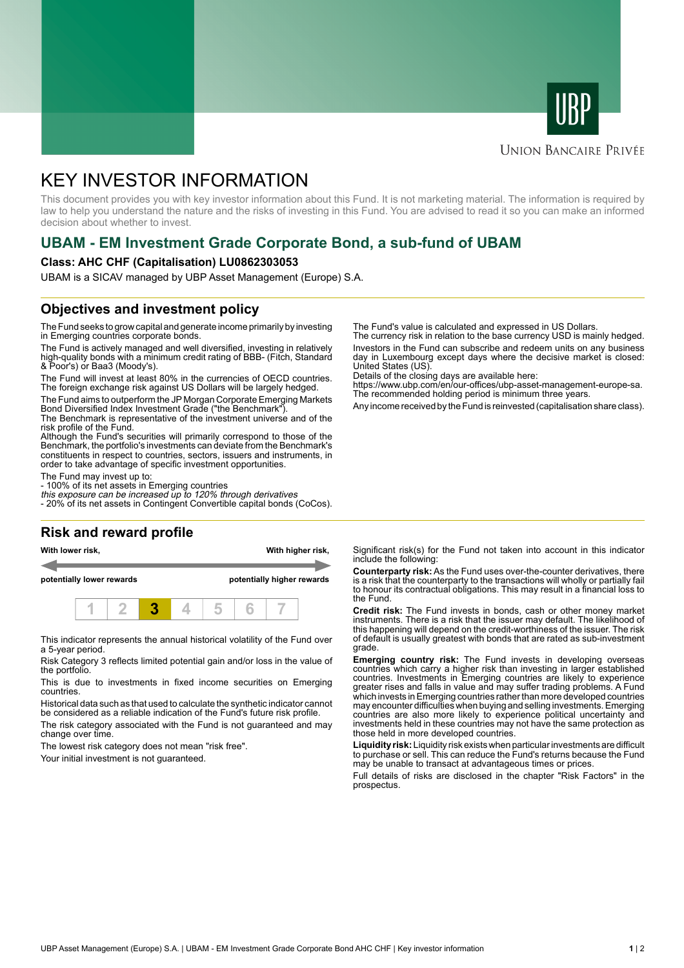



### **UNION BANCAIRE PRIVÉE**

# KEY INVESTOR INFORMATION

This document provides you with key investor information about this Fund. It is not marketing material. The information is required by law to help you understand the nature and the risks of investing in this Fund. You are advised to read it so you can make an informed decision about whether to invest.

# **UBAM - EM Investment Grade Corporate Bond, a sub-fund of UBAM**

#### **Class: AHC CHF (Capitalisation) LU0862303053**

UBAM is a SICAV managed by UBP Asset Management (Europe) S.A.

# **Objectives and investment policy**

The Fund seeks to grow capital and generate income primarily by investing in Emerging countries corporate bonds.

The Fund is actively managed and well diversified, investing in relatively high-quality bonds with a minimum credit rating of BBB- (Fitch, Standard & Poor's) or Baa3 (Moody's).

The Fund will invest at least 80% in the currencies of OECD countries. The foreign exchange risk against US Dollars will be largely hedged.

The Fund aims to outperform the JP Morgan Corporate Emerging Markets Bond Diversified Index Investment Grade ("the Benchmark").

The Benchmark is representative of the investment universe and of the risk profile of the Fund.

Although the Fund's securities will primarily correspond to those of the Benchmark, the portfolio's investments can deviate from the Benchmark's constituents in respect to countries, sectors, issuers and instruments, in order to take advantage of specific investment opportunities.

The Fund may invest up to:

- 100% of its net assets in Emerging countries

this exposure can be increased up to 120% through derivatives - 20% of its net assets in Contingent Convertible capital bonds (CoCos).

# **Risk and reward profile**

**With lower risk, With higher risk,**

**potentially lower rewards potentially higher rewards**



This indicator represents the annual historical volatility of the Fund over a 5-year period.

Risk Category 3 reflects limited potential gain and/or loss in the value of the portfolio.

This is due to investments in fixed income securities on Emerging countries.

Historical data such as that used to calculate the synthetic indicator cannot be considered as a reliable indication of the Fund's future risk profile.

The risk category associated with the Fund is not guaranteed and may change over time.

The lowest risk category does not mean "risk free".

Your initial investment is not guaranteed.

The Fund's value is calculated and expressed in US Dollars.

The currency risk in relation to the base currency USD is mainly hedged. Investors in the Fund can subscribe and redeem units on any business day in Luxembourg except days where the decisive market is closed: United States (US).

Details of the closing days are available here:

https://www.ubp.com/en/our-offices/ubp-asset-management-europe-sa. The recommended holding period is minimum three years.

Any income received by the Fund is reinvested (capitalisation share class).

Significant risk(s) for the Fund not taken into account in this indicator include the following:

**Counterparty risk:** As the Fund uses over-the-counter derivatives, there is a risk that the counterparty to the transactions will wholly or partially fail to honour its contractual obligations. This may result in a financial loss to the Fund.

**Credit risk:** The Fund invests in bonds, cash or other money market instruments. There is a risk that the issuer may default. The likelihood of this happening will depend on the credit-worthiness of the issuer. The risk of default is usually greatest with bonds that are rated as sub-investment grade.

**Emerging country risk:** The Fund invests in developing overseas countries which carry a higher risk than investing in larger established countries. Investments in Emerging countries are likely to experience greater rises and falls in value and may suffer trading problems. A Fund which invests in Emerging countries rather than more developed countries may encounter difficulties when buying and selling investments. Emerging countries are also more likely to experience political uncertainty and investments held in these countries may not have the same protection as those held in more developed countries.

**Liquidity risk:** Liquidity risk exists when particular investments are difficult to purchase or sell. This can reduce the Fund's returns because the Fund may be unable to transact at advantageous times or prices.

Full details of risks are disclosed in the chapter "Risk Factors" in the prospectus.